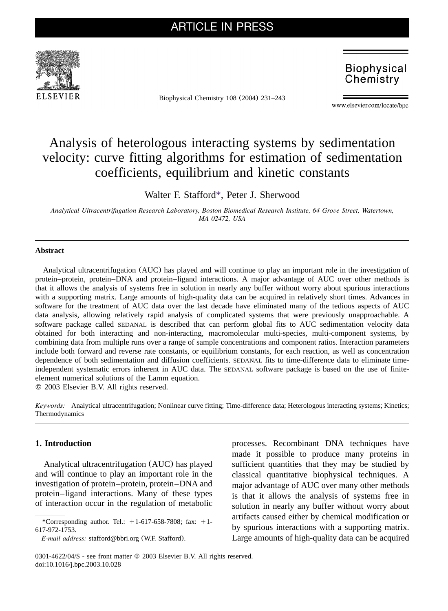

Biophysical Chemistry 108 (2004) 231–243

**Biophysical** Chemistry

www.elsevier.com/locate/bpc

# Analysis of heterologous interacting systems by sedimentation velocity: curve fitting algorithms for estimation of sedimentation coefficients, equilibrium and kinetic constants

Walter F. Stafford\*, Peter J. Sherwood

*Analytical Ultracentrifugation Research Laboratory, Boston Biomedical Research Institute, 64 Grove Street, Watertown, MA 02472, USA*

## **Abstract**

Analytical ultracentrifugation (AUC) has played and will continue to play an important role in the investigation of protein–protein, protein–DNA and protein–ligand interactions. A major advantage of AUC over other methods is that it allows the analysis of systems free in solution in nearly any buffer without worry about spurious interactions with a supporting matrix. Large amounts of high-quality data can be acquired in relatively short times. Advances in software for the treatment of AUC data over the last decade have eliminated many of the tedious aspects of AUC data analysis, allowing relatively rapid analysis of complicated systems that were previously unapproachable. A software package called SEDANAL is described that can perform global fits to AUC sedimentation velocity data obtained for both interacting and non-interacting, macromolecular multi-species, multi-component systems, by combining data from multiple runs over a range of sample concentrations and component ratios. Interaction parameters include both forward and reverse rate constants, or equilibrium constants, for each reaction, as well as concentration dependence of both sedimentation and diffusion coefficients. SEDANAL fits to time-difference data to eliminate timeindependent systematic errors inherent in AUC data. The SEDANAL software package is based on the use of finiteelement numerical solutions of the Lamm equation.

2003 Elsevier B.V. All rights reserved.

*Keywords:* Analytical ultracentrifugation; Nonlinear curve fitting; Time-difference data; Heterologous interacting systems; Kinetics; Thermodynamics

## **1. Introduction**

Analytical ultracentrifugation (AUC) has played and will continue to play an important role in the investigation of protein–protein, protein–DNA and protein–ligand interactions. Many of these types of interaction occur in the regulation of metabolic

*E-mail address:* stafford@bbri.org (W.F. Stafford).

processes. Recombinant DNA techniques have made it possible to produce many proteins in sufficient quantities that they may be studied by classical quantitative biophysical techniques. A major advantage of AUC over many other methods is that it allows the analysis of systems free in solution in nearly any buffer without worry about artifacts caused either by chemical modification or by spurious interactions with a supporting matrix. Large amounts of high-quality data can be acquired

<sup>\*</sup>Corresponding author. Tel.:  $+1-617-658-7808$ ; fax:  $+1-$ 617-972-1753.

<sup>0301-4622/04/\$ -</sup> see front matter © 2003 Elsevier B.V. All rights reserved. doi:10.1016/j.bpc.2003.10.028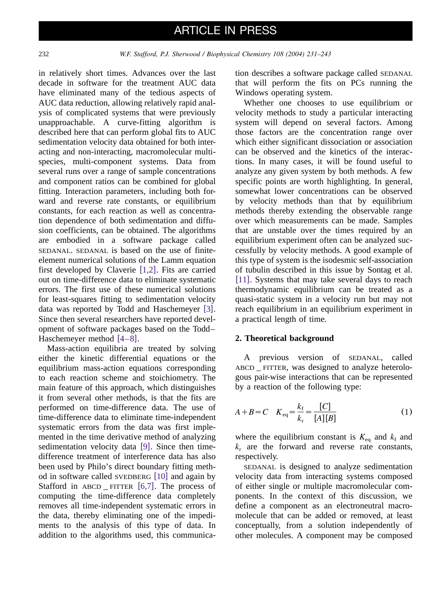<span id="page-1-0"></span>in relatively short times. Advances over the last decade in software for the treatment AUC data have eliminated many of the tedious aspects of AUC data reduction, allowing relatively rapid analysis of complicated systems that were previously unapproachable. A curve-fitting algorithm is described here that can perform global fits to AUC sedimentation velocity data obtained for both interacting and non-interacting, macromolecular multispecies, multi-component systems. Data from several runs over a range of sample concentrations and component ratios can be combined for global fitting. Interaction parameters, including both forward and reverse rate constants, or equilibrium constants, for each reaction as well as concentration dependence of both sedimentation and diffusion coefficients, can be obtained. The algorithms are embodied in a software package called SEDANAL. SEDANAL is based on the use of finiteelement numerical solutions of the Lamm equation first developed by Claverie  $[1,2]$  $[1,2]$  $[1,2]$ . Fits are carried out on time-difference data to eliminate systematic errors. The first use of these numerical solutions for least-squares fitting to sedimentation velocity data was reported by Todd and Haschemeyer  $\lceil 3 \rceil$  $\lceil 3 \rceil$  $\lceil 3 \rceil$ . Since then several researchers have reported development of software packages based on the Todd– Haschemeyer method  $[4-8]$ .

Mass-action equilibria are treated by solving either the kinetic differential equations or the equilibrium mass-action equations corresponding to each reaction scheme and stoichiometry. The main feature of this approach, which distinguishes it from several other methods, is that the fits are performed on time-difference data. The use of time-difference data to eliminate time-independent systematic errors from the data was first implemented in the time derivative method of analyzing sedimentation velocity data  $[9]$  $[9]$  $[9]$ . Since then timedifference treatment of interference data has also been used by Philo's direct boundary fitting method in software called SVEDBERG  $[10]$  $[10]$  $[10]$  and again by Stafford in ABCD FITTER  $[6,7]$  $[6,7]$  $[6,7]$ . The process of computing the time-difference data completely removes all time-independent systematic errors in the data, thereby eliminating one of the impediments to the analysis of this type of data. In addition to the algorithms used, this communication describes a software package called SEDANAL that will perform the fits on PCs running the Windows operating system.

Whether one chooses to use equilibrium or velocity methods to study a particular interacting system will depend on several factors. Among those factors are the concentration range over which either significant dissociation or association can be observed and the kinetics of the interactions. In many cases, it will be found useful to analyze any given system by both methods. A few specific points are worth highlighting. In general, somewhat lower concentrations can be observed by velocity methods than that by equilibrium methods thereby extending the observable range over which measurements can be made. Samples that are unstable over the times required by an equilibrium experiment often can be analyzed successfully by velocity methods. A good example of this type of system is the isodesmic self-association of tubulin described in this issue by Sontag et al. [[11](#page-12-0)]. Systems that may take several days to reach thermodynamic equilibrium can be treated as a quasi-static system in a velocity run but may not reach equilibrium in an equilibrium experiment in a practical length of time.

## **2. Theoretical background**

A previous version of SEDANAL, called ABCD \_ FITTER, was designed to analyze heterologous pair-wise interactions that can be represented by a reaction of the following type:

$$
A + B = C \t K_{\text{eq}} = \frac{k_{\text{f}}}{k_{\text{r}}} = \frac{[C]}{[A][B]}
$$
 (1)

where the equilibrium constant is  $K_{eq}$  and  $k_f$  and  $k<sub>r</sub>$  are the forward and reverse rate constants, respectively.

SEDANAL is designed to analyze sedimentation velocity data from interacting systems composed of either single or multiple macromolecular components. In the context of this discussion, we define a component as an electroneutral macromolecule that can be added or removed, at least conceptually, from a solution independently of other molecules. A component may be composed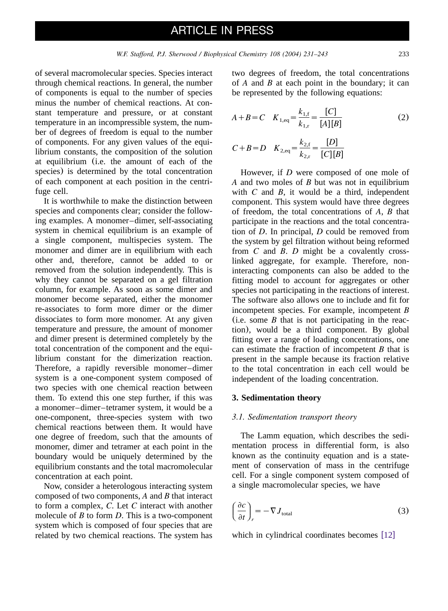<span id="page-2-0"></span>of several macromolecular species. Species interact through chemical reactions. In general, the number of components is equal to the number of species minus the number of chemical reactions. At constant temperature and pressure, or at constant temperature in an incompressible system, the number of degrees of freedom is equal to the number of components. For any given values of the equilibrium constants, the composition of the solution at equilibrium (i.e. the amount of each of the species) is determined by the total concentration of each component at each position in the centrifuge cell.

It is worthwhile to make the distinction between species and components clear; consider the following examples. A monomer–dimer, self-associating system in chemical equilibrium is an example of a single component, multispecies system. The monomer and dimer are in equilibrium with each other and, therefore, cannot be added to or removed from the solution independently. This is why they cannot be separated on a gel filtration column, for example. As soon as some dimer and monomer become separated, either the monomer re-associates to form more dimer or the dimer dissociates to form more monomer. At any given temperature and pressure, the amount of monomer and dimer present is determined completely by the total concentration of the component and the equilibrium constant for the dimerization reaction. Therefore, a rapidly reversible monomer–dimer system is a one-component system composed of two species with one chemical reaction between them. To extend this one step further, if this was a monomer–dimer–tetramer system, it would be a one-component, three-species system with two chemical reactions between them. It would have one degree of freedom, such that the amounts of monomer, dimer and tetramer at each point in the boundary would be uniquely determined by the equilibrium constants and the total macromolecular concentration at each point.

Now, consider a heterologous interacting system composed of two components, *A* and *B* that interact to form a complex, *C*. Let *C* interact with another molecule of *B* to form *D*. This is a two-component system which is composed of four species that are related by two chemical reactions. The system has two degrees of freedom, the total concentrations of *A* and *B* at each point in the boundary; it can be represented by the following equations:

$$
A + B = C \t K_{1,eq} = \frac{k_{1,f}}{k_{1,r}} = \frac{[C]}{[A][B]}
$$
  
\n
$$
C + B = D \t K_{2,eq} = \frac{k_{2,f}}{k_{2,r}} = \frac{[D]}{[C][B]}
$$
\n(2)

However, if *D* were composed of one mole of *A* and two moles of *B* but was not in equilibrium with *C* and *B*, it would be a third, independent component. This system would have three degrees of freedom, the total concentrations of *A*, *B* that participate in the reactions and the total concentration of *D*. In principal, *D* could be removed from the system by gel filtration without being reformed from *C* and *B*. *D* might be a covalently crosslinked aggregate, for example. Therefore, noninteracting components can also be added to the fitting model to account for aggregates or other species not participating in the reactions of interest. The software also allows one to include and fit for incompetent species. For example, incompetent *B* (i.e. some  $B$  that is not participating in the reaction), would be a third component. By global fitting over a range of loading concentrations, one can estimate the fraction of incompetent *B* that is present in the sample because its fraction relative to the total concentration in each cell would be independent of the loading concentration.

## **3. Sedimentation theory**

## *3.1. Sedimentation transport theory*

The Lamm equation, which describes the sedimentation process in differential form, is also known as the continuity equation and is a statement of conservation of mass in the centrifuge cell. For a single component system composed of a single macromolecular species, we have

$$
\left(\frac{\partial c}{\partial t}\right)_r = -\nabla J_{\text{total}}\tag{3}
$$

which in cylindrical coordinates becomes  $[12]$  $[12]$  $[12]$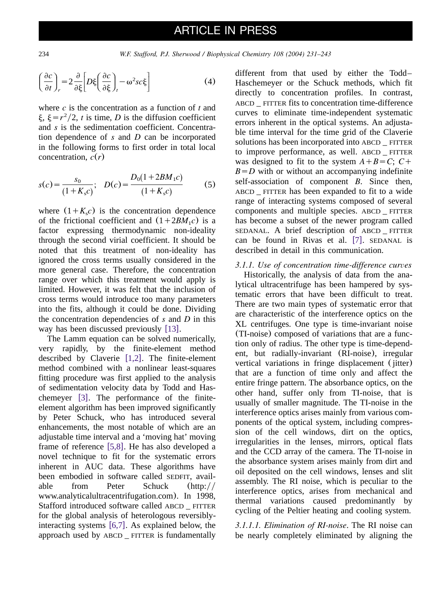$$
\left(\frac{\partial c}{\partial t}\right)_r = 2\frac{\partial}{\partial \xi} \left[ D\xi \left(\frac{\partial c}{\partial \xi}\right)_t - \omega^2 sc\xi \right] \tag{4}
$$

where *c* is the concentration as a function of *t* and  $\xi$ ,  $\xi = r^2/2$ , *t* is time, *D* is the diffusion coefficient and *s* is the sedimentation coefficient. Concentration dependence of *s* and *D* can be incorporated in the following forms to first order in total local concentration, *c*(*r*)

$$
s(c) = \frac{s_0}{(1 + K_s c)}; \quad D(c) = \frac{D_0(1 + 2BM_1 c)}{(1 + K_s c)}
$$
(5)

where  $(1+K<sub>s</sub>c)$  is the concentration dependence of the frictional coefficient and  $(1+2BM<sub>1</sub>c)$  is a factor expressing thermodynamic non-ideality through the second virial coefficient. It should be noted that this treatment of non-ideality has ignored the cross terms usually considered in the more general case. Therefore, the concentration range over which this treatment would apply is limited. However, it was felt that the inclusion of cross terms would introduce too many parameters into the fits, although it could be done. Dividing the concentration dependencies of *s* and *D* in this way has been discussed previously  $[13]$  $[13]$  $[13]$ .

The Lamm equation can be solved numerically, very rapidly, by the finite-element method described by Claverie  $[1,2]$  $[1,2]$  $[1,2]$ . The finite-element method combined with a nonlinear least-squares fitting procedure was first applied to the analysis of sedimentation velocity data by Todd and Haschemeyer  $[3]$  $[3]$  $[3]$ . The performance of the finiteelement algorithm has been improved significantly by Peter Schuck, who has introduced several enhancements, the most notable of which are an adjustable time interval and a 'moving hat' moving frame of reference  $[5,8]$  $[5,8]$  $[5,8]$ . He has also developed a novel technique to fit for the systematic errors inherent in AUC data. These algorithms have been embodied in software called SEDFIT, available from Peter Schuck  $(http://$ www.analyticalultracentrifugation.com). In 1998, Stafford introduced software called ABCD \_ FITTER for the global analysis of heterologous reversiblyinteracting systems  $[6,7]$  $[6,7]$  $[6,7]$ . As explained below, the approach used by ABCD \_ FITTER is fundamentally

different from that used by either the Todd– Haschemeyer or the Schuck methods, which fit directly to concentration profiles. In contrast, ABCD \_ FITTER fits to concentration time-difference curves to eliminate time-independent systematic errors inherent in the optical systems. An adjustable time interval for the time grid of the Claverie solutions has been incorporated into ABCD FITTER to improve performance, as well. ABCD \_ FITTER was designed to fit to the system  $A+B=C$ ;  $C+$  $B = D$  with or without an accompanying indefinite self-association of component *B*. Since then, ABCD \_ FITTER has been expanded to fit to a wide range of interacting systems composed of several components and multiple species. ABCD \_ FITTER has become a subset of the newer program called SEDANAL. A brief description of ABCD \_ FITTER can be found in Rivas et al.  $[7]$  $[7]$  $[7]$ . SEDANAL is described in detail in this communication.

## *3.1.1. Use of concentration time-difference curves*

Historically, the analysis of data from the analytical ultracentrifuge has been hampered by systematic errors that have been difficult to treat. There are two main types of systematic error that are characteristic of the interference optics on the XL centrifuges. One type is time-invariant noise (TI-noise) composed of variations that are a function only of radius. The other type is time-dependent, but radially-invariant (RI-noise), irregular vertical variations in fringe displacement ( jitter) that are a function of time only and affect the entire fringe pattern. The absorbance optics, on the other hand, suffer only from TI-noise, that is usually of smaller magnitude. The TI-noise in the interference optics arises mainly from various components of the optical system, including compression of the cell windows, dirt on the optics, irregularities in the lenses, mirrors, optical flats and the CCD array of the camera. The TI-noise in the absorbance system arises mainly from dirt and oil deposited on the cell windows, lenses and slit assembly. The RI noise, which is peculiar to the interference optics, arises from mechanical and thermal variations caused predominantly by cycling of the Peltier heating and cooling system.

*3.1.1.1. Elimination of RI-noise*. The RI noise can be nearly completely eliminated by aligning the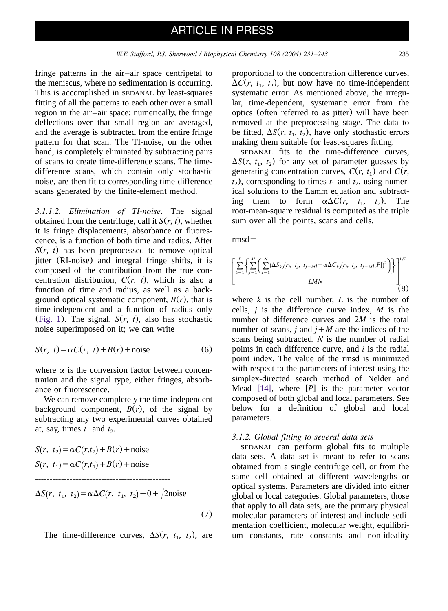fringe patterns in the air–air space centripetal to the meniscus, where no sedimentation is occurring. This is accomplished in SEDANAL by least-squares fitting of all the patterns to each other over a small region in the air–air space: numerically, the fringe deflections over that small region are averaged, and the average is subtracted from the entire fringe pattern for that scan. The TI-noise, on the other hand, is completely eliminated by subtracting pairs of scans to create time-difference scans. The timedifference scans, which contain only stochastic noise, are then fit to corresponding time-difference scans generated by the finite-element method.

*3.1.1.2. Elimination of TI-noise*. The signal obtained from the centrifuge, call it  $S(r, t)$ , whether it is fringe displacements, absorbance or fluorescence, is a function of both time and radius. After  $S(r, t)$  has been preprocessed to remove optical jitter (RI-noise) and integral fringe shifts, it is composed of the contribution from the true concentration distribution,  $C(r, t)$ , which is also a function of time and radius, as well as a background optical systematic component,  $B(r)$ , that is time-independent and a function of radius only ([Fig. 1](#page-5-0)). The signal,  $S(r, t)$ , also has stochastic noise superimposed on it; we can write

$$
S(r, t) = \alpha C(r, t) + B(r) + \text{noise}
$$
 (6)

where  $\alpha$  is the conversion factor between concentration and the signal type, either fringes, absorbance or fluorescence.

We can remove completely the time-independent background component,  $B(r)$ , of the signal by subtracting any two experimental curves obtained at, say, times  $t_1$  and  $t_2$ .

$$
S(r, t_2) = \alpha C(r, t_2) + B(r) + \text{noise}
$$
  
\n
$$
S(r, t_1) = \alpha C(r, t_1) + B(r) + \text{noise}
$$
  
\n
$$
\Delta S(r, t_1, t_2) = \alpha \Delta C(r, t_1, t_2) + 0 + \sqrt{2} \text{noise}
$$

The time-difference curves,  $\Delta S(r, t_1, t_2)$ , are

(7)

proportional to the concentration difference curves,  $\Delta C(r, t_1, t_2)$ , but now have no time-independent systematic error. As mentioned above, the irregular, time-dependent, systematic error from the optics (often referred to as jitter) will have been removed at the preprocessing stage. The data to be fitted,  $\Delta S(r, t_1, t_2)$ , have only stochastic errors making them suitable for least-squares fitting.

SEDANAL fits to the time-difference curves,  $\Delta S(r, t_1, t_2)$  for any set of parameter guesses by generating concentration curves,  $C(r, t_1)$  and  $C(r, t_2)$  $t_2$ ), corresponding to times  $t_1$  and  $t_2$ , using numerical solutions to the Lamm equation and subtracting them to form  $\alpha \Delta C(r, t_1, t_2)$ . The root-mean-square residual is computed as the triple sum over all the points, scans and cells.

 $\text{rmsd} =$ 

$$
\left[\frac{\sum_{k=1}^{L} \left\{ \sum_{j=1}^{M} \left( \sum_{i=1}^{N} (\Delta S_{kj}(r_i, t_j, t_{j+M}) - \alpha \Delta C_{kj}(r_i, t_j, t_{j+M}) [P])^2 \right) \right\}}{LMN} \right]^{1/2}
$$
(8)

where  $k$  is the cell number,  $L$  is the number of cells, *j* is the difference curve index, *M* is the number of difference curves and 2*M* is the total number of scans, *j* and  $j+M$  are the indices of the scans being subtracted, *N* is the number of radial points in each difference curve, and *i* is the radial point index. The value of the rmsd is minimized with respect to the parameters of interest using the simplex-directed search method of Nelder and Mead  $[14]$  $[14]$  $[14]$ , where  $[P]$  is the parameter vector composed of both global and local parameters. See below for a definition of global and local parameters.

## *3.1.2. Global fitting to several data sets*

SEDANAL can perform global fits to multiple data sets. A data set is meant to refer to scans obtained from a single centrifuge cell, or from the same cell obtained at different wavelengths or optical systems. Parameters are divided into either global or local categories. Global parameters, those that apply to all data sets, are the primary physical molecular parameters of interest and include sedimentation coefficient, molecular weight, equilibrium constants, rate constants and non-ideality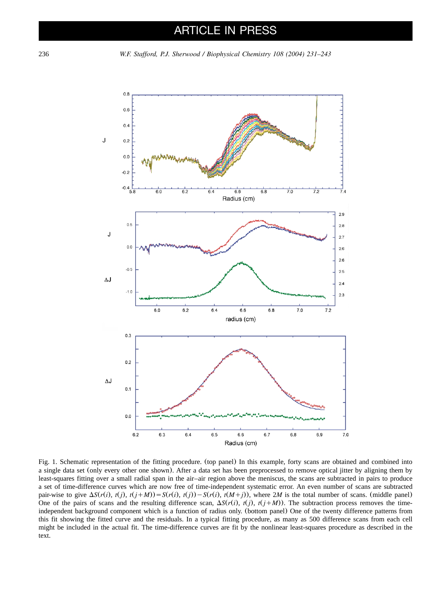<span id="page-5-0"></span>236 *W.F. Stafford, P.J. Sherwood / Biophysical Chemistry 108 (2004) 231–243*



Fig. 1. Schematic representation of the fitting procedure. (top panel) In this example, forty scans are obtained and combined into a single data set (only every other one shown). After a data set has been preprocessed to remove optical jitter by aligning them by least-squares fitting over a small radial span in the air–air region above the meniscus, the scans are subtracted in pairs to produce a set of time-difference curves which are now free of time-independent systematic error. An even number of scans are subtracted pair-wise to give  $\Delta S(r(i), t(j), t(j+M)) = S(r(i), t(j)) - S(r(i), t(M+j))$ , where 2*M* is the total number of scans. (middle panel) One of the pairs of scans and the resulting difference scan,  $\Delta S(r(i), t(j), t(j+M))$ . The subtraction process removes the timeindependent background component which is a function of radius only. (bottom panel) One of the twenty difference patterns from this fit showing the fitted curve and the residuals. In a typical fitting procedure, as many as 500 difference scans from each cell might be included in the actual fit. The time-difference curves are fit by the nonlinear least-squares procedure as described in the text.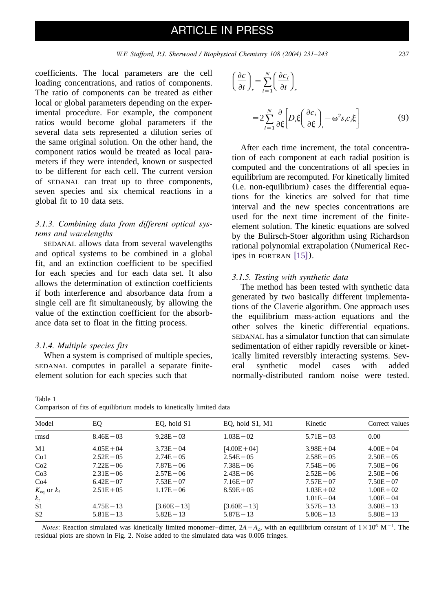<span id="page-6-0"></span>coefficients. The local parameters are the cell loading concentrations, and ratios of components. The ratio of components can be treated as either local or global parameters depending on the experimental procedure. For example, the component ratios would become global parameters if the several data sets represented a dilution series of the same original solution. On the other hand, the component ratios would be treated as local parameters if they were intended, known or suspected to be different for each cell. The current version of SEDANAL can treat up to three components, seven species and six chemical reactions in a global fit to 10 data sets.

## *3.1.3. Combining data from different optical systems and wavelengths*

SEDANAL allows data from several wavelengths and optical systems to be combined in a global fit, and an extinction coefficient to be specified for each species and for each data set. It also allows the determination of extinction coefficients if both interference and absorbance data from a single cell are fit simultaneously, by allowing the value of the extinction coefficient for the absorbance data set to float in the fitting process.

## *3.1.4. Multiple species fits*

Table 1

When a system is comprised of multiple species, SEDANAL computes in parallel a separate finiteelement solution for each species such that

Comparison of fits of equilibrium models to kinetically limited data

 $\left(\frac{\partial c}{\partial t}\right)_r = \sum_{i=1}^N \left(\frac{\partial c_i}{\partial t}\right)_r$  $=2\sum_{i=1}^{N}\frac{\partial}{\partial \xi}\left[D_{i}\xi\left(\frac{\partial c_{i}}{\partial \xi}\right)-\omega^{2}s_{i}c_{i}\xi\right]$  (9)

After each time increment, the total concentration of each component at each radial position is computed and the concentrations of all species in equilibrium are recomputed. For kinetically limited (i.e. non-equilibrium) cases the differential equations for the kinetics are solved for that time interval and the new species concentrations are used for the next time increment of the finiteelement solution. The kinetic equations are solved by the Bulirsch-Stoer algorithm using Richardson rational polynomial extrapolation (Numerical Recipes in FORTRAN  $[15]$  $[15]$  $[15]$ ).

## *3.1.5. Testing with synthetic data*

The method has been tested with synthetic data generated by two basically different implementations of the Claverie algorithm. One approach uses the equilibrium mass-action equations and the other solves the kinetic differential equations. SEDANAL has a simulator function that can simulate sedimentation of either rapidly reversible or kinetically limited reversibly interacting systems. Several synthetic model cases with added normally-distributed random noise were tested.

| Model                             | EQ            | EO, hold S1    | EO, hold S1, M1 | Kinetic      | Correct values |
|-----------------------------------|---------------|----------------|-----------------|--------------|----------------|
| rmsd                              | $8.46E - 03$  | $9.28E - 03$   | $1.03E - 02$    | $5.71E - 03$ | 0.00           |
| M1                                | $4.05E + 04$  | $3.73E + 04$   | $[4.00E + 04]$  | $3.98E + 04$ | $4.00E + 04$   |
| Co <sub>1</sub>                   | $2.52E - 05$  | $2.74E - 0.5$  | $2.54E - 0.5$   | $2.58E - 05$ | $2.50E - 0.5$  |
| Co2                               | $7.22E - 06$  | $7.87E - 06$   | $7.38E - 06$    | $7.54E - 06$ | $7.50E - 06$   |
| Co <sub>3</sub>                   | $2.31E - 06$  | $2.57E - 06$   | $2.43E - 06$    | $2.52E - 06$ | $2.50E - 06$   |
| Co <sub>4</sub>                   | $6.42E - 07$  | $7.53E - 07$   | $7.16E - 07$    | $7.57E - 07$ | $7.50E - 07$   |
| $K_{\text{eq}}$ or $k_{\text{f}}$ | $2.51E + 0.5$ | $1.17E + 06$   | $8.59E + 0.5$   | $1.03E + 02$ | $1.00E + 02$   |
| $k_{\rm r}$                       |               |                |                 | $1.01E - 04$ | $1.00E - 04$   |
| S <sub>1</sub>                    | $4.75E - 13$  | $[3.60E - 13]$ | $[3.60E - 13]$  | $3.57E - 13$ | $3.60E - 13$   |
| S <sub>2</sub>                    | $5.81E - 13$  | $5.82E - 13$   | $5.87E - 13$    | $5.80E - 13$ | $5.80E - 13$   |

*Notes*: Reaction simulated was kinetically limited monomer–dimer,  $2A = A_2$ , with an equilibrium constant of  $1 \times 10^6$  M<sup>-1</sup>. The residual plots are shown in Fig. 2. Noise added to the simulated data was 0.005 fringes.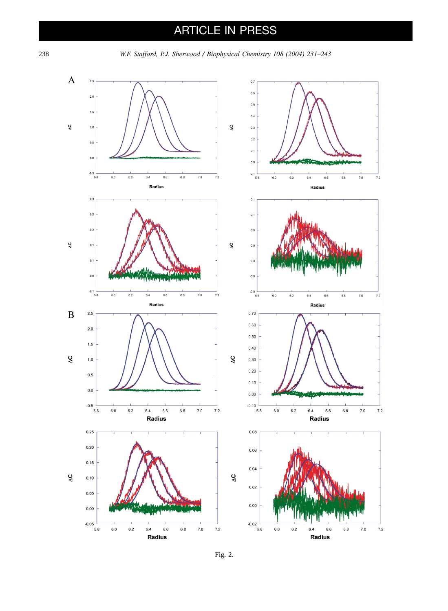<span id="page-7-0"></span>

Fig. 2.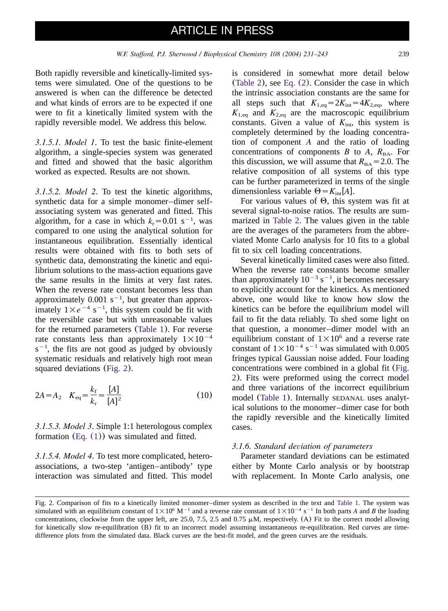Both rapidly reversible and kinetically-limited systems were simulated. One of the questions to be answered is when can the difference be detected and what kinds of errors are to be expected if one were to fit a kinetically limited system with the rapidly reversible model. We address this below.

*3.1.5.1. Model 1*. To test the basic finite-element algorithm, a single-species system was generated and fitted and showed that the basic algorithm worked as expected. Results are not shown.

*3.1.5.2. Model 2*. To test the kinetic algorithms, synthetic data for a simple monomer–dimer selfassociating system was generated and fitted. This algorithm, for a case in which  $k_r = 0.01 \text{ s}^{-1}$ , was compared to one using the analytical solution for instantaneous equilibration. Essentially identical results were obtained with fits to both sets of synthetic data, demonstrating the kinetic and equilibrium solutions to the mass-action equations gave the same results in the limits at very fast rates. When the reverse rate constant becomes less than approximately  $0.001$  s<sup>-1</sup>, but greater than approximately  $1\times e^{-4}$  s<sup>-1</sup>, this system could be fit with the reversible case but with unreasonable values for the returned parameters ([Table 1](#page-6-0)). For reverse rate constants less than approximately  $1\times10^{-4}$  $s^{-1}$ , the fits are not good as judged by obviously systematic residuals and relatively high root mean squared deviations ([Fig. 2](#page-7-0)).

$$
2A = A_2 \quad K_{\text{eq}} = \frac{k_f}{k_r} = \frac{[A]}{[A]^2} \tag{10}
$$

*3.1.5.3. Model 3*. Simple 1:1 heterologous complex formation ([Eq.](#page-1-0) (1)) was simulated and fitted.

*3.1.5.4. Model 4*. To test more complicated, heteroassociations, a two-step 'antigen–antibody' type interaction was simulated and fitted. This model is considered in somewhat more detail below ([Table 2](#page-10-0)), see [Eq.](#page-2-0) (2). Consider the case in which the intrinsic association constants are the same for all steps such that  $K_{1,\text{eq}} = 2K_{\text{int}} = 4K_{2,\text{eq}}$ , where  $K_{1,\text{eq}}$  and  $K_{2,\text{eq}}$  are the macroscopic equilibrium constants. Given a value of  $K_{\text{int}}$ , this system is completely determined by the loading concentration of component *A* and the ratio of loading concentrations of components *B* to *A*,  $R_{BA}$ . For this discussion, we will assume that  $R_{BA} = 2.0$ . The relative composition of all systems of this type can be further parameterized in terms of the single dimensionless variable  $\Theta = K_{\text{int}}[A]$ .

For various values of  $\Theta$ , this system was fit at several signal-to-noise ratios. The results are summarized in [Table 2.](#page-10-0) The values given in the table are the averages of the parameters from the abbreviated Monte Carlo analysis for 10 fits to a global fit to six cell loading concentrations.

Several kinetically limited cases were also fitted. When the reverse rate constants become smaller than approximately  $10^{-3}$  s<sup>-1</sup>, it becomes necessary to explicitly account for the kinetics. As mentioned above, one would like to know how slow the kinetics can be before the equilibrium model will fail to fit the data reliably. To shed some light on that question, a monomer–dimer model with an equilibrium constant of  $1\times10^6$  and a reverse rate constant of  $1\times10^{-4}$  s<sup>-1</sup> was simulated with 0.005 fringes typical Gaussian noise added. Four loading concentrations were combined in a global fit ([Fig.](#page-7-0) [2](#page-7-0)). Fits were preformed using the correct model and three variations of the incorrect equilibrium model ([Table 1](#page-6-0)). Internally SEDANAL uses analytical solutions to the monomer–dimer case for both the rapidly reversible and the kinetically limited cases.

## *3.1.6. Standard deviation of parameters*

Parameter standard deviations can be estimated either by Monte Carlo analysis or by bootstrap with replacement. In Monte Carlo analysis, one

Fig. 2. Comparison of fits to a kinetically limited monomer–dimer system as described in the text and [Table 1.](#page-6-0) The system was simulated with an equilibrium constant of  $1\times10^6$  M<sup>-1</sup> and a reverse rate constant of  $1\times10^{-4}$  s<sup>-1</sup> In both parts *A* and *B* the loading concentrations, clockwise from the upper left, are 25.0, 7.5, 2.5 and 0.75  $\mu$ M, respectively. (A) Fit to the correct model allowing for kinetically slow re-equilibration (B) fit to an incorrect model assuming instantaneous re-equilibration. Red curves are timedifference plots from the simulated data. Black curves are the best-fit model, and the green curves are the residuals.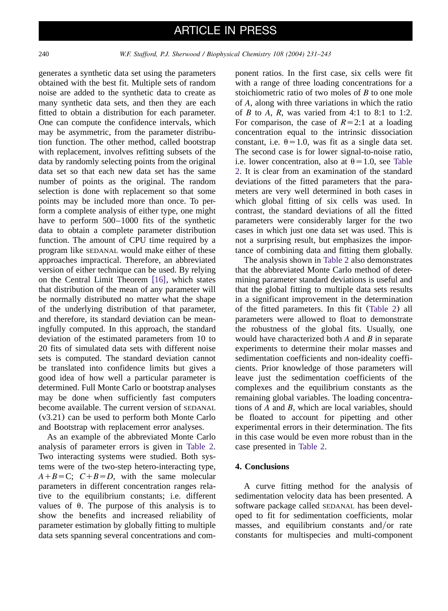generates a synthetic data set using the parameters obtained with the best fit. Multiple sets of random noise are added to the synthetic data to create as many synthetic data sets, and then they are each fitted to obtain a distribution for each parameter. One can compute the confidence intervals, which may be asymmetric, from the parameter distribution function. The other method, called bootstrap with replacement, involves refitting subsets of the data by randomly selecting points from the original data set so that each new data set has the same number of points as the original. The random selection is done with replacement so that some points may be included more than once. To perform a complete analysis of either type, one might have to perform 500–1000 fits of the synthetic data to obtain a complete parameter distribution function. The amount of CPU time required by a program like SEDANAL would make either of these approaches impractical. Therefore, an abbreviated version of either technique can be used. By relying on the Central Limit Theorem  $[16]$  $[16]$  $[16]$ , which states that distribution of the mean of any parameter will be normally distributed no matter what the shape of the underlying distribution of that parameter, and therefore, its standard deviation can be meaningfully computed. In this approach, the standard deviation of the estimated parameters from 10 to 20 fits of simulated data sets with different noise sets is computed. The standard deviation cannot be translated into confidence limits but gives a good idea of how well a particular parameter is determined. Full Monte Carlo or bootstrap analyses may be done when sufficiently fast computers become available. The current version of SEDANAL (v3.21) can be used to perform both Monte Carlo and Bootstrap with replacement error analyses.

As an example of the abbreviated Monte Carlo analysis of parameter errors is given in [Table 2.](#page-10-0) Two interacting systems were studied. Both systems were of the two-step hetero-interacting type,  $A + B = C$ ;  $C + B = D$ , with the same molecular parameters in different concentration ranges relative to the equilibrium constants; i.e. different values of  $\theta$ . The purpose of this analysis is to show the benefits and increased reliability of parameter estimation by globally fitting to multiple data sets spanning several concentrations and com-

ponent ratios. In the first case, six cells were fit with a range of three loading concentrations for a stoichiometric ratio of two moles of *B* to one mole of *A*, along with three variations in which the ratio of *B* to *A*, *R*, was varied from 4:1 to 8:1 to 1:2. For comparison, the case of  $R=2:1$  at a loading concentration equal to the intrinsic dissociation constant, i.e.  $\theta$  = 1.0, was fit as a single data set. The second case is for lower signal-to-noise ratio, i.e. lower concentration, also at  $\theta$  = 1.0, see [Table](#page-10-0) [2.](#page-10-0) It is clear from an examination of the standard deviations of the fitted parameters that the parameters are very well determined in both cases in which global fitting of six cells was used. In contrast, the standard deviations of all the fitted parameters were considerably larger for the two cases in which just one data set was used. This is not a surprising result, but emphasizes the importance of combining data and fitting them globally.

The analysis shown in [Table 2](#page-10-0) also demonstrates that the abbreviated Monte Carlo method of determining parameter standard deviations is useful and that the global fitting to multiple data sets results in a significant improvement in the determination of the fitted parameters. In this fit ([Table 2](#page-10-0)) all parameters were allowed to float to demonstrate the robustness of the global fits. Usually, one would have characterized both *A* and *B* in separate experiments to determine their molar masses and sedimentation coefficients and non-ideality coefficients. Prior knowledge of those parameters will leave just the sedimentation coefficients of the complexes and the equilibrium constants as the remaining global variables. The loading concentrations of *A* and *B*, which are local variables, should be floated to account for pipetting and other experimental errors in their determination. The fits in this case would be even more robust than in the case presented in [Table 2.](#page-10-0)

## **4. Conclusions**

A curve fitting method for the analysis of sedimentation velocity data has been presented. A software package called SEDANAL has been developed to fit for sedimentation coefficients, molar masses, and equilibrium constants and/or rate constants for multispecies and multi-component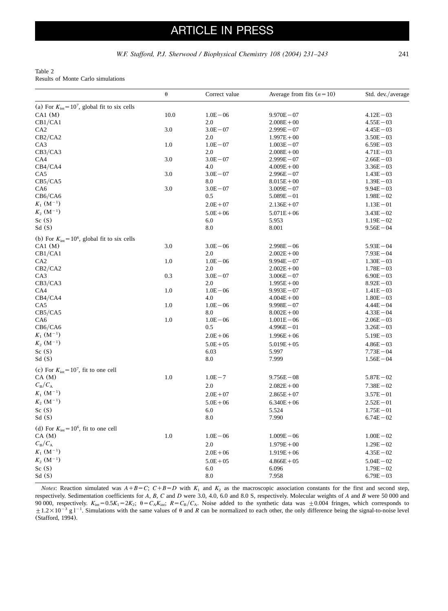*W.F. Stafford, P.J. Sherwood / Biophysical Chemistry 108 (2004) 231–243* 241

### <span id="page-10-0"></span>Table 2

Results of Monte Carlo simulations

| (a) For $K_{\text{int}} = 10^7$ , global fit to six cells<br>CA1(M)<br>10.0<br>$1.0E - 06$<br>$9.970E - 07$<br>$4.12E - 03$<br>CB1/CA1<br>2.0<br>$2.008E + 00$<br>$4.55E - 03$<br>3.0<br>$3.0E - 07$<br>CA <sub>2</sub><br>$2.999E - 07$<br>$4.45E - 03$<br>CB2/CA2<br>2.0<br>$1.997E + 00$<br>$3.50E - 03$<br>1.0<br>$1.0E - 07$<br>CA3<br>$1.003E - 07$<br>$6.59E - 03$<br>CB3/CA3<br>2.0<br>$2.008E + 00$<br>$4.71E - 03$<br>CA4<br>3.0<br>$3.0E - 07$<br>$2.999E - 07$<br>$2.66E - 03$<br>CB4/CA4<br>4.0<br>$3.36E - 03$<br>$4.009E + 00$<br>3.0<br>CA5<br>$3.0E - 07$<br>$2.996E - 07$<br>$1.43E - 03$<br>CB5/CA5<br>8.0<br>$8.015E + 00$<br>$1.39E - 03$<br>3.0<br>CA6<br>$3.0E - 07$<br>$3.009E - 07$<br>$9.94E - 03$<br>CB6/CA6<br>0.5<br>$5.089E - 01$<br>$1.98E - 02$<br>$K_1$ (M <sup>-1</sup> )<br>$2.0E + 07$<br>$1.13E - 01$<br>$2.136E + 07$<br>$K_2$ $(M^{-1})$<br>$5.0E + 06$<br>$5.071E + 06$<br>$3.43E - 02$<br>Sc(S)<br>6.0<br>5.953<br>$1.19E - 02$<br>Sd(S)<br>8.0<br>8.001<br>$9.56E - 04$<br>(b) For $K_{\text{int}} = 10^6$ , global fit to six cells<br>CA1(M)<br>3.0<br>$3.0E - 06$<br>$2.998E - 06$<br>$5.93E - 04$<br>CB1/CA1<br>2.0<br>$2.002E + 00$<br>$7.93E - 04$<br>CA <sub>2</sub><br>1.0<br>$1.0E - 06$<br>$9.994E - 07$<br>$1.30E - 03$<br>2.0<br>CB2/CA2<br>$2.002E + 00$<br>$1.78E - 03$<br>0.3<br>$3.0E - 07$<br>CA3<br>$3.006E - 07$<br>$6.90E - 03$<br>CB3/CA3<br>2.0<br>$8.92E - 03$<br>$1.995E + 00$<br>1.0<br>CA4<br>$1.0E - 06$<br>$9.993E - 07$<br>$1.41E - 03$<br>CB4/CA4<br>4.0<br>$4.004E + 00$<br>$1.80E - 03$<br>1.0<br>$1.0E - 06$<br>CA5<br>$9.998E - 07$<br>$4.44E - 04$<br>CB5/CA5<br>8.0<br>$8.002E + 00$<br>$4.33E - 04$<br>1.0<br>$1.0E - 06$<br>CA6<br>$1.001E - 06$<br>$2.06E - 03$<br>CB6/CA6<br>$0.5\,$<br>$4.996E - 01$<br>$3.26E - 03$<br>$K_1$ (M <sup>-1</sup> )<br>$2.0E + 06$<br>$5.19E - 03$<br>$1.996E + 06$<br>$K_2$ (M <sup>-1</sup> )<br>$5.0E + 05$<br>$5.019E + 05$<br>$4.86E - 03$<br>Sc(S)<br>6.03<br>5.997<br>$7.73E - 04$<br>Sd(S)<br>8.0<br>7.999<br>$1.56E - 04$<br>(c) For $K_{\text{int}} = 10^7$ , fit to one cell<br>CA(M)<br>1.0<br>$1.0E - 7$<br>$9.756E - 08$<br>$5.87E - 02$<br>$C_{\rm B}/C_{\rm A}$<br>2.0<br>$2.082E + 00$<br>$7.38E - 02$<br>$K_1$ (M <sup>-1</sup> )<br>$2.0E + 07$<br>$2.865E + 07$<br>$3.57E - 01$<br>$K_2$ $(M^{-1})$<br>$5.0E + 06$<br>$6.340E + 06$<br>$2.52E - 01$<br>Sc(S)<br>6.0<br>5.524<br>$1.75E - 01$<br>Sd(S)<br>8.0<br>7.990<br>$6.74E - 02$ | $\boldsymbol{\theta}$ | Correct value | Average from fits $(n=10)$ | Std. dev./average |
|---------------------------------------------------------------------------------------------------------------------------------------------------------------------------------------------------------------------------------------------------------------------------------------------------------------------------------------------------------------------------------------------------------------------------------------------------------------------------------------------------------------------------------------------------------------------------------------------------------------------------------------------------------------------------------------------------------------------------------------------------------------------------------------------------------------------------------------------------------------------------------------------------------------------------------------------------------------------------------------------------------------------------------------------------------------------------------------------------------------------------------------------------------------------------------------------------------------------------------------------------------------------------------------------------------------------------------------------------------------------------------------------------------------------------------------------------------------------------------------------------------------------------------------------------------------------------------------------------------------------------------------------------------------------------------------------------------------------------------------------------------------------------------------------------------------------------------------------------------------------------------------------------------------------------------------------------------------------------------------------------------------------------------------------------------------------------------------------------------------------------------------------------------------------------------------------------------------------------------------------------------------------------------------------------------------------------------------------------------------------------------------------------------------------------------------------------------------------------|-----------------------|---------------|----------------------------|-------------------|
|                                                                                                                                                                                                                                                                                                                                                                                                                                                                                                                                                                                                                                                                                                                                                                                                                                                                                                                                                                                                                                                                                                                                                                                                                                                                                                                                                                                                                                                                                                                                                                                                                                                                                                                                                                                                                                                                                                                                                                                                                                                                                                                                                                                                                                                                                                                                                                                                                                                                           |                       |               |                            |                   |
|                                                                                                                                                                                                                                                                                                                                                                                                                                                                                                                                                                                                                                                                                                                                                                                                                                                                                                                                                                                                                                                                                                                                                                                                                                                                                                                                                                                                                                                                                                                                                                                                                                                                                                                                                                                                                                                                                                                                                                                                                                                                                                                                                                                                                                                                                                                                                                                                                                                                           |                       |               |                            |                   |
|                                                                                                                                                                                                                                                                                                                                                                                                                                                                                                                                                                                                                                                                                                                                                                                                                                                                                                                                                                                                                                                                                                                                                                                                                                                                                                                                                                                                                                                                                                                                                                                                                                                                                                                                                                                                                                                                                                                                                                                                                                                                                                                                                                                                                                                                                                                                                                                                                                                                           |                       |               |                            |                   |
|                                                                                                                                                                                                                                                                                                                                                                                                                                                                                                                                                                                                                                                                                                                                                                                                                                                                                                                                                                                                                                                                                                                                                                                                                                                                                                                                                                                                                                                                                                                                                                                                                                                                                                                                                                                                                                                                                                                                                                                                                                                                                                                                                                                                                                                                                                                                                                                                                                                                           |                       |               |                            |                   |
|                                                                                                                                                                                                                                                                                                                                                                                                                                                                                                                                                                                                                                                                                                                                                                                                                                                                                                                                                                                                                                                                                                                                                                                                                                                                                                                                                                                                                                                                                                                                                                                                                                                                                                                                                                                                                                                                                                                                                                                                                                                                                                                                                                                                                                                                                                                                                                                                                                                                           |                       |               |                            |                   |
|                                                                                                                                                                                                                                                                                                                                                                                                                                                                                                                                                                                                                                                                                                                                                                                                                                                                                                                                                                                                                                                                                                                                                                                                                                                                                                                                                                                                                                                                                                                                                                                                                                                                                                                                                                                                                                                                                                                                                                                                                                                                                                                                                                                                                                                                                                                                                                                                                                                                           |                       |               |                            |                   |
|                                                                                                                                                                                                                                                                                                                                                                                                                                                                                                                                                                                                                                                                                                                                                                                                                                                                                                                                                                                                                                                                                                                                                                                                                                                                                                                                                                                                                                                                                                                                                                                                                                                                                                                                                                                                                                                                                                                                                                                                                                                                                                                                                                                                                                                                                                                                                                                                                                                                           |                       |               |                            |                   |
|                                                                                                                                                                                                                                                                                                                                                                                                                                                                                                                                                                                                                                                                                                                                                                                                                                                                                                                                                                                                                                                                                                                                                                                                                                                                                                                                                                                                                                                                                                                                                                                                                                                                                                                                                                                                                                                                                                                                                                                                                                                                                                                                                                                                                                                                                                                                                                                                                                                                           |                       |               |                            |                   |
|                                                                                                                                                                                                                                                                                                                                                                                                                                                                                                                                                                                                                                                                                                                                                                                                                                                                                                                                                                                                                                                                                                                                                                                                                                                                                                                                                                                                                                                                                                                                                                                                                                                                                                                                                                                                                                                                                                                                                                                                                                                                                                                                                                                                                                                                                                                                                                                                                                                                           |                       |               |                            |                   |
|                                                                                                                                                                                                                                                                                                                                                                                                                                                                                                                                                                                                                                                                                                                                                                                                                                                                                                                                                                                                                                                                                                                                                                                                                                                                                                                                                                                                                                                                                                                                                                                                                                                                                                                                                                                                                                                                                                                                                                                                                                                                                                                                                                                                                                                                                                                                                                                                                                                                           |                       |               |                            |                   |
|                                                                                                                                                                                                                                                                                                                                                                                                                                                                                                                                                                                                                                                                                                                                                                                                                                                                                                                                                                                                                                                                                                                                                                                                                                                                                                                                                                                                                                                                                                                                                                                                                                                                                                                                                                                                                                                                                                                                                                                                                                                                                                                                                                                                                                                                                                                                                                                                                                                                           |                       |               |                            |                   |
|                                                                                                                                                                                                                                                                                                                                                                                                                                                                                                                                                                                                                                                                                                                                                                                                                                                                                                                                                                                                                                                                                                                                                                                                                                                                                                                                                                                                                                                                                                                                                                                                                                                                                                                                                                                                                                                                                                                                                                                                                                                                                                                                                                                                                                                                                                                                                                                                                                                                           |                       |               |                            |                   |
|                                                                                                                                                                                                                                                                                                                                                                                                                                                                                                                                                                                                                                                                                                                                                                                                                                                                                                                                                                                                                                                                                                                                                                                                                                                                                                                                                                                                                                                                                                                                                                                                                                                                                                                                                                                                                                                                                                                                                                                                                                                                                                                                                                                                                                                                                                                                                                                                                                                                           |                       |               |                            |                   |
|                                                                                                                                                                                                                                                                                                                                                                                                                                                                                                                                                                                                                                                                                                                                                                                                                                                                                                                                                                                                                                                                                                                                                                                                                                                                                                                                                                                                                                                                                                                                                                                                                                                                                                                                                                                                                                                                                                                                                                                                                                                                                                                                                                                                                                                                                                                                                                                                                                                                           |                       |               |                            |                   |
|                                                                                                                                                                                                                                                                                                                                                                                                                                                                                                                                                                                                                                                                                                                                                                                                                                                                                                                                                                                                                                                                                                                                                                                                                                                                                                                                                                                                                                                                                                                                                                                                                                                                                                                                                                                                                                                                                                                                                                                                                                                                                                                                                                                                                                                                                                                                                                                                                                                                           |                       |               |                            |                   |
|                                                                                                                                                                                                                                                                                                                                                                                                                                                                                                                                                                                                                                                                                                                                                                                                                                                                                                                                                                                                                                                                                                                                                                                                                                                                                                                                                                                                                                                                                                                                                                                                                                                                                                                                                                                                                                                                                                                                                                                                                                                                                                                                                                                                                                                                                                                                                                                                                                                                           |                       |               |                            |                   |
|                                                                                                                                                                                                                                                                                                                                                                                                                                                                                                                                                                                                                                                                                                                                                                                                                                                                                                                                                                                                                                                                                                                                                                                                                                                                                                                                                                                                                                                                                                                                                                                                                                                                                                                                                                                                                                                                                                                                                                                                                                                                                                                                                                                                                                                                                                                                                                                                                                                                           |                       |               |                            |                   |
|                                                                                                                                                                                                                                                                                                                                                                                                                                                                                                                                                                                                                                                                                                                                                                                                                                                                                                                                                                                                                                                                                                                                                                                                                                                                                                                                                                                                                                                                                                                                                                                                                                                                                                                                                                                                                                                                                                                                                                                                                                                                                                                                                                                                                                                                                                                                                                                                                                                                           |                       |               |                            |                   |
|                                                                                                                                                                                                                                                                                                                                                                                                                                                                                                                                                                                                                                                                                                                                                                                                                                                                                                                                                                                                                                                                                                                                                                                                                                                                                                                                                                                                                                                                                                                                                                                                                                                                                                                                                                                                                                                                                                                                                                                                                                                                                                                                                                                                                                                                                                                                                                                                                                                                           |                       |               |                            |                   |
|                                                                                                                                                                                                                                                                                                                                                                                                                                                                                                                                                                                                                                                                                                                                                                                                                                                                                                                                                                                                                                                                                                                                                                                                                                                                                                                                                                                                                                                                                                                                                                                                                                                                                                                                                                                                                                                                                                                                                                                                                                                                                                                                                                                                                                                                                                                                                                                                                                                                           |                       |               |                            |                   |
|                                                                                                                                                                                                                                                                                                                                                                                                                                                                                                                                                                                                                                                                                                                                                                                                                                                                                                                                                                                                                                                                                                                                                                                                                                                                                                                                                                                                                                                                                                                                                                                                                                                                                                                                                                                                                                                                                                                                                                                                                                                                                                                                                                                                                                                                                                                                                                                                                                                                           |                       |               |                            |                   |
|                                                                                                                                                                                                                                                                                                                                                                                                                                                                                                                                                                                                                                                                                                                                                                                                                                                                                                                                                                                                                                                                                                                                                                                                                                                                                                                                                                                                                                                                                                                                                                                                                                                                                                                                                                                                                                                                                                                                                                                                                                                                                                                                                                                                                                                                                                                                                                                                                                                                           |                       |               |                            |                   |
|                                                                                                                                                                                                                                                                                                                                                                                                                                                                                                                                                                                                                                                                                                                                                                                                                                                                                                                                                                                                                                                                                                                                                                                                                                                                                                                                                                                                                                                                                                                                                                                                                                                                                                                                                                                                                                                                                                                                                                                                                                                                                                                                                                                                                                                                                                                                                                                                                                                                           |                       |               |                            |                   |
|                                                                                                                                                                                                                                                                                                                                                                                                                                                                                                                                                                                                                                                                                                                                                                                                                                                                                                                                                                                                                                                                                                                                                                                                                                                                                                                                                                                                                                                                                                                                                                                                                                                                                                                                                                                                                                                                                                                                                                                                                                                                                                                                                                                                                                                                                                                                                                                                                                                                           |                       |               |                            |                   |
|                                                                                                                                                                                                                                                                                                                                                                                                                                                                                                                                                                                                                                                                                                                                                                                                                                                                                                                                                                                                                                                                                                                                                                                                                                                                                                                                                                                                                                                                                                                                                                                                                                                                                                                                                                                                                                                                                                                                                                                                                                                                                                                                                                                                                                                                                                                                                                                                                                                                           |                       |               |                            |                   |
|                                                                                                                                                                                                                                                                                                                                                                                                                                                                                                                                                                                                                                                                                                                                                                                                                                                                                                                                                                                                                                                                                                                                                                                                                                                                                                                                                                                                                                                                                                                                                                                                                                                                                                                                                                                                                                                                                                                                                                                                                                                                                                                                                                                                                                                                                                                                                                                                                                                                           |                       |               |                            |                   |
|                                                                                                                                                                                                                                                                                                                                                                                                                                                                                                                                                                                                                                                                                                                                                                                                                                                                                                                                                                                                                                                                                                                                                                                                                                                                                                                                                                                                                                                                                                                                                                                                                                                                                                                                                                                                                                                                                                                                                                                                                                                                                                                                                                                                                                                                                                                                                                                                                                                                           |                       |               |                            |                   |
|                                                                                                                                                                                                                                                                                                                                                                                                                                                                                                                                                                                                                                                                                                                                                                                                                                                                                                                                                                                                                                                                                                                                                                                                                                                                                                                                                                                                                                                                                                                                                                                                                                                                                                                                                                                                                                                                                                                                                                                                                                                                                                                                                                                                                                                                                                                                                                                                                                                                           |                       |               |                            |                   |
|                                                                                                                                                                                                                                                                                                                                                                                                                                                                                                                                                                                                                                                                                                                                                                                                                                                                                                                                                                                                                                                                                                                                                                                                                                                                                                                                                                                                                                                                                                                                                                                                                                                                                                                                                                                                                                                                                                                                                                                                                                                                                                                                                                                                                                                                                                                                                                                                                                                                           |                       |               |                            |                   |
|                                                                                                                                                                                                                                                                                                                                                                                                                                                                                                                                                                                                                                                                                                                                                                                                                                                                                                                                                                                                                                                                                                                                                                                                                                                                                                                                                                                                                                                                                                                                                                                                                                                                                                                                                                                                                                                                                                                                                                                                                                                                                                                                                                                                                                                                                                                                                                                                                                                                           |                       |               |                            |                   |
|                                                                                                                                                                                                                                                                                                                                                                                                                                                                                                                                                                                                                                                                                                                                                                                                                                                                                                                                                                                                                                                                                                                                                                                                                                                                                                                                                                                                                                                                                                                                                                                                                                                                                                                                                                                                                                                                                                                                                                                                                                                                                                                                                                                                                                                                                                                                                                                                                                                                           |                       |               |                            |                   |
|                                                                                                                                                                                                                                                                                                                                                                                                                                                                                                                                                                                                                                                                                                                                                                                                                                                                                                                                                                                                                                                                                                                                                                                                                                                                                                                                                                                                                                                                                                                                                                                                                                                                                                                                                                                                                                                                                                                                                                                                                                                                                                                                                                                                                                                                                                                                                                                                                                                                           |                       |               |                            |                   |
|                                                                                                                                                                                                                                                                                                                                                                                                                                                                                                                                                                                                                                                                                                                                                                                                                                                                                                                                                                                                                                                                                                                                                                                                                                                                                                                                                                                                                                                                                                                                                                                                                                                                                                                                                                                                                                                                                                                                                                                                                                                                                                                                                                                                                                                                                                                                                                                                                                                                           |                       |               |                            |                   |
|                                                                                                                                                                                                                                                                                                                                                                                                                                                                                                                                                                                                                                                                                                                                                                                                                                                                                                                                                                                                                                                                                                                                                                                                                                                                                                                                                                                                                                                                                                                                                                                                                                                                                                                                                                                                                                                                                                                                                                                                                                                                                                                                                                                                                                                                                                                                                                                                                                                                           |                       |               |                            |                   |
|                                                                                                                                                                                                                                                                                                                                                                                                                                                                                                                                                                                                                                                                                                                                                                                                                                                                                                                                                                                                                                                                                                                                                                                                                                                                                                                                                                                                                                                                                                                                                                                                                                                                                                                                                                                                                                                                                                                                                                                                                                                                                                                                                                                                                                                                                                                                                                                                                                                                           |                       |               |                            |                   |
|                                                                                                                                                                                                                                                                                                                                                                                                                                                                                                                                                                                                                                                                                                                                                                                                                                                                                                                                                                                                                                                                                                                                                                                                                                                                                                                                                                                                                                                                                                                                                                                                                                                                                                                                                                                                                                                                                                                                                                                                                                                                                                                                                                                                                                                                                                                                                                                                                                                                           |                       |               |                            |                   |
|                                                                                                                                                                                                                                                                                                                                                                                                                                                                                                                                                                                                                                                                                                                                                                                                                                                                                                                                                                                                                                                                                                                                                                                                                                                                                                                                                                                                                                                                                                                                                                                                                                                                                                                                                                                                                                                                                                                                                                                                                                                                                                                                                                                                                                                                                                                                                                                                                                                                           |                       |               |                            |                   |
|                                                                                                                                                                                                                                                                                                                                                                                                                                                                                                                                                                                                                                                                                                                                                                                                                                                                                                                                                                                                                                                                                                                                                                                                                                                                                                                                                                                                                                                                                                                                                                                                                                                                                                                                                                                                                                                                                                                                                                                                                                                                                                                                                                                                                                                                                                                                                                                                                                                                           |                       |               |                            |                   |
|                                                                                                                                                                                                                                                                                                                                                                                                                                                                                                                                                                                                                                                                                                                                                                                                                                                                                                                                                                                                                                                                                                                                                                                                                                                                                                                                                                                                                                                                                                                                                                                                                                                                                                                                                                                                                                                                                                                                                                                                                                                                                                                                                                                                                                                                                                                                                                                                                                                                           |                       |               |                            |                   |
|                                                                                                                                                                                                                                                                                                                                                                                                                                                                                                                                                                                                                                                                                                                                                                                                                                                                                                                                                                                                                                                                                                                                                                                                                                                                                                                                                                                                                                                                                                                                                                                                                                                                                                                                                                                                                                                                                                                                                                                                                                                                                                                                                                                                                                                                                                                                                                                                                                                                           |                       |               |                            |                   |
|                                                                                                                                                                                                                                                                                                                                                                                                                                                                                                                                                                                                                                                                                                                                                                                                                                                                                                                                                                                                                                                                                                                                                                                                                                                                                                                                                                                                                                                                                                                                                                                                                                                                                                                                                                                                                                                                                                                                                                                                                                                                                                                                                                                                                                                                                                                                                                                                                                                                           |                       |               |                            |                   |
|                                                                                                                                                                                                                                                                                                                                                                                                                                                                                                                                                                                                                                                                                                                                                                                                                                                                                                                                                                                                                                                                                                                                                                                                                                                                                                                                                                                                                                                                                                                                                                                                                                                                                                                                                                                                                                                                                                                                                                                                                                                                                                                                                                                                                                                                                                                                                                                                                                                                           |                       |               |                            |                   |
|                                                                                                                                                                                                                                                                                                                                                                                                                                                                                                                                                                                                                                                                                                                                                                                                                                                                                                                                                                                                                                                                                                                                                                                                                                                                                                                                                                                                                                                                                                                                                                                                                                                                                                                                                                                                                                                                                                                                                                                                                                                                                                                                                                                                                                                                                                                                                                                                                                                                           |                       |               |                            |                   |
| (d) For $K_{\text{int}} = 10^6$ , fit to one cell                                                                                                                                                                                                                                                                                                                                                                                                                                                                                                                                                                                                                                                                                                                                                                                                                                                                                                                                                                                                                                                                                                                                                                                                                                                                                                                                                                                                                                                                                                                                                                                                                                                                                                                                                                                                                                                                                                                                                                                                                                                                                                                                                                                                                                                                                                                                                                                                                         |                       |               |                            |                   |
| CA(M)<br>1.0<br>$1.0E - 06$<br>$1.009E - 06$<br>$1.00E - 02$                                                                                                                                                                                                                                                                                                                                                                                                                                                                                                                                                                                                                                                                                                                                                                                                                                                                                                                                                                                                                                                                                                                                                                                                                                                                                                                                                                                                                                                                                                                                                                                                                                                                                                                                                                                                                                                                                                                                                                                                                                                                                                                                                                                                                                                                                                                                                                                                              |                       |               |                            |                   |
| $C_{\rm B}/C_{\rm A}$<br>2.0<br>$1.979E + 00$<br>$1.29E - 02$                                                                                                                                                                                                                                                                                                                                                                                                                                                                                                                                                                                                                                                                                                                                                                                                                                                                                                                                                                                                                                                                                                                                                                                                                                                                                                                                                                                                                                                                                                                                                                                                                                                                                                                                                                                                                                                                                                                                                                                                                                                                                                                                                                                                                                                                                                                                                                                                             |                       |               |                            |                   |
| $K_1~(\mathrm{M}^{-1})$<br>$2.0E + 06$<br>$1.919E + 06$<br>$4.35E - 02$                                                                                                                                                                                                                                                                                                                                                                                                                                                                                                                                                                                                                                                                                                                                                                                                                                                                                                                                                                                                                                                                                                                                                                                                                                                                                                                                                                                                                                                                                                                                                                                                                                                                                                                                                                                                                                                                                                                                                                                                                                                                                                                                                                                                                                                                                                                                                                                                   |                       |               |                            |                   |
| $K_2$ $(M^{-1})$<br>$5.0E + 05$<br>$4.866E + 05$<br>$5.04E - 02$                                                                                                                                                                                                                                                                                                                                                                                                                                                                                                                                                                                                                                                                                                                                                                                                                                                                                                                                                                                                                                                                                                                                                                                                                                                                                                                                                                                                                                                                                                                                                                                                                                                                                                                                                                                                                                                                                                                                                                                                                                                                                                                                                                                                                                                                                                                                                                                                          |                       |               |                            |                   |
| Sc(S)<br>6.0<br>6.096<br>$1.79E - 02$                                                                                                                                                                                                                                                                                                                                                                                                                                                                                                                                                                                                                                                                                                                                                                                                                                                                                                                                                                                                                                                                                                                                                                                                                                                                                                                                                                                                                                                                                                                                                                                                                                                                                                                                                                                                                                                                                                                                                                                                                                                                                                                                                                                                                                                                                                                                                                                                                                     |                       |               |                            |                   |
| Sd(S)<br>8.0<br>7.958<br>$6.79E - 03$                                                                                                                                                                                                                                                                                                                                                                                                                                                                                                                                                                                                                                                                                                                                                                                                                                                                                                                                                                                                                                                                                                                                                                                                                                                                                                                                                                                                                                                                                                                                                                                                                                                                                                                                                                                                                                                                                                                                                                                                                                                                                                                                                                                                                                                                                                                                                                                                                                     |                       |               |                            |                   |

*Notes*: Reaction simulated was  $A + B = C$ ;  $C + B = D$  with  $K_1$  and  $K_2$  as the macroscopic association constants for the first and second step, respectively. Sedimentation coefficients for *A*, *B*, *C* and *D* were 3.0, 4.0, 6.0 and 8.0 S, respectively. Molecular weights of *A* and *B* were 50 000 and 90 000, respectively.  $K_{int} = 0.5K_1 = 2K_2$ ;  $\theta = C_A K_{int}$ ;  $R = C_B/C_A$ . Noise added to the synthetic data was  $\pm 0.004$  fringes, which corresponds to  $\pm$  1.2×10<sup>-3</sup> g l<sup>-1</sup>. Simulations with the same values of  $\theta$  and *R* can be normalized to each other, the only difference being the signal-to-noise level (Stafford, 1994).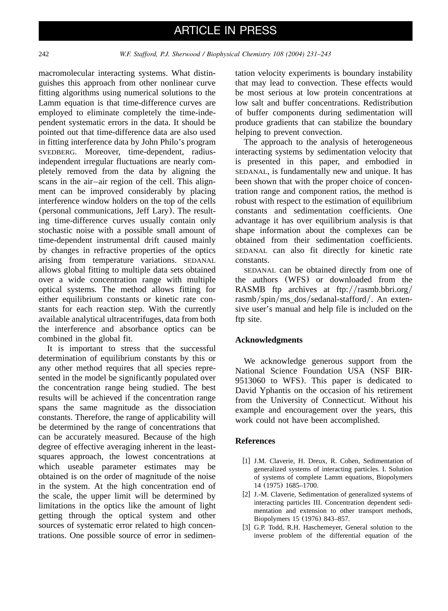<span id="page-11-0"></span>macromolecular interacting systems. What distinguishes this approach from other nonlinear curve fitting algorithms using numerical solutions to the Lamm equation is that time-difference curves are employed to eliminate completely the time-independent systematic errors in the data. It should be pointed out that time-difference data are also used in fitting interference data by John Philo's program SVEDBERG. Moreover, time-dependent, radiusindependent irregular fluctuations are nearly completely removed from the data by aligning the scans in the air–air region of the cell. This alignment can be improved considerably by placing interference window holders on the top of the cells (personal communications, Jeff Lary). The resulting time-difference curves usually contain only stochastic noise with a possible small amount of time-dependent instrumental drift caused mainly by changes in refractive properties of the optics arising from temperature variations. SEDANAL allows global fitting to multiple data sets obtained over a wide concentration range with multiple optical systems. The method allows fitting for either equilibrium constants or kinetic rate constants for each reaction step. With the currently available analytical ultracentrifuges, data from both the interference and absorbance optics can be combined in the global fit.

It is important to stress that the successful determination of equilibrium constants by this or any other method requires that all species represented in the model be significantly populated over the concentration range being studied. The best results will be achieved if the concentration range spans the same magnitude as the dissociation constants. Therefore, the range of applicability will be determined by the range of concentrations that can be accurately measured. Because of the high degree of effective averaging inherent in the leastsquares approach, the lowest concentrations at which useable parameter estimates may be obtained is on the order of magnitude of the noise in the system. At the high concentration end of the scale, the upper limit will be determined by limitations in the optics like the amount of light getting through the optical system and other sources of systematic error related to high concentrations. One possible source of error in sedimen-

tation velocity experiments is boundary instability that may lead to convection. These effects would be most serious at low protein concentrations at low salt and buffer concentrations. Redistribution of buffer components during sedimentation will produce gradients that can stabilize the boundary helping to prevent convection.

The approach to the analysis of heterogeneous interacting systems by sedimentation velocity that is presented in this paper, and embodied in SEDANAL, is fundamentally new and unique. It has been shown that with the proper choice of concentration range and component ratios, the method is robust with respect to the estimation of equilibrium constants and sedimentation coefficients. One advantage it has over equilibrium analysis is that shape information about the complexes can be obtained from their sedimentation coefficients. SEDANAL can also fit directly for kinetic rate constants.

SEDANAL can be obtained directly from one of the authors (WFS) or downloaded from the RASMB ftp archives at ftp://rasmb.bbri.org/ rasmb/spin/ms\_dos/sedanal-stafford/. An extensive user's manual and help file is included on the ftp site.

## **Acknowledgments**

We acknowledge generous support from the National Science Foundation USA (NSF BIR-9513060 to WFS). This paper is dedicated to David Yphantis on the occasion of his retirement from the University of Connecticut. Without his example and encouragement over the years, this work could not have been accomplished.

### **References**

- [1] J.M. Claverie, H. Dreux, R. Cohen, Sedimentation of generalized systems of interacting particles. I. Solution of systems of complete Lamm equations, Biopolymers 14 (1975) 1685–1700.
- [2] J.-M. Claverie, Sedimentation of generalized systems of interacting particles III. Concentration dependent sedimentation and extension to other transport methods, Biopolymers 15 (1976) 843–857.
- [3] G.P. Todd, R.H. Haschemeyer, General solution to the inverse problem of the differential equation of the